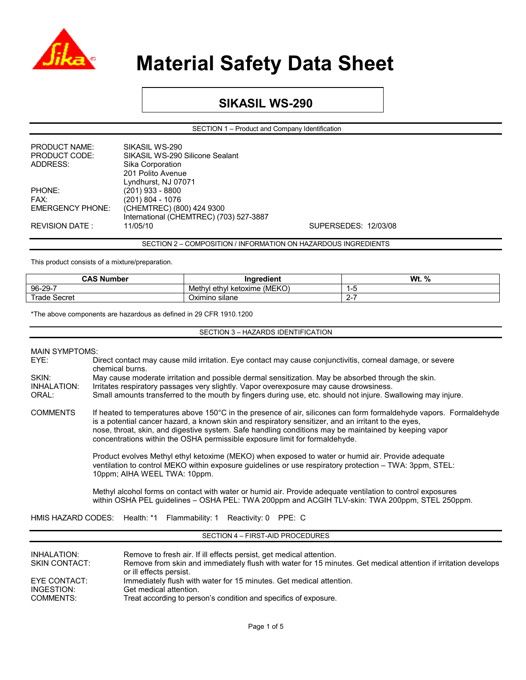

### **SIKASIL WS-290**

SECTION 1 – Product and Company Identification

| <b>PRODUCT NAME:</b>    | SIKASIL WS-290                          |
|-------------------------|-----------------------------------------|
| PRODUCT CODE:           | SIKASIL WS-290 Silicone Sealant         |
| ADDRESS:                | Sika Corporation                        |
|                         | 201 Polito Avenue                       |
|                         | Lyndhurst, NJ 07071                     |
| PHONE:                  | $(201)$ 933 - 8800                      |
| FAX:                    | $(201) 804 - 1076$                      |
| <b>EMERGENCY PHONE:</b> | (CHEMTREC) (800) 424 9300               |
|                         | International (CHEMTREC) (703) 527-3887 |
| <b>REVISION DATE:</b>   | 11/05/10                                |
|                         |                                         |

SECTION 2 – COMPOSITION / INFORMATION ON HAZARDOUS INGREDIENTS

SUPERSEDES: 12/03/08

This product consists of a mixture/preparation.

| <b>CAS Number</b> | .<br>Inaredient                    | Wt.<br>% |
|-------------------|------------------------------------|----------|
| 96-29-7           | (MEKO)<br>Methyl ethyl<br>ketoxime |          |
| ⊺rade<br>Secret   | Oximino silane                     |          |

\*The above components are hazardous as defined in 29 CFR 1910.1200

SECTION 3 – HAZARDS IDENTIFICATION

| EYE:                                                                                                                                                                                                         | Direct contact may cause mild irritation. Eye contact may cause conjunctivitis, corneal damage, or severe<br>chemical burns.                                                                                                                                                                                                                                                                                      |  |  |  |  |
|--------------------------------------------------------------------------------------------------------------------------------------------------------------------------------------------------------------|-------------------------------------------------------------------------------------------------------------------------------------------------------------------------------------------------------------------------------------------------------------------------------------------------------------------------------------------------------------------------------------------------------------------|--|--|--|--|
| SKIN:                                                                                                                                                                                                        | May cause moderate irritation and possible dermal sensitization. May be absorbed through the skin.                                                                                                                                                                                                                                                                                                                |  |  |  |  |
| <b>INHALATION:</b>                                                                                                                                                                                           | Irritates respiratory passages very slightly. Vapor overexposure may cause drowsiness.                                                                                                                                                                                                                                                                                                                            |  |  |  |  |
| ORAL:                                                                                                                                                                                                        | Small amounts transferred to the mouth by fingers during use, etc. should not injure. Swallowing may injure.                                                                                                                                                                                                                                                                                                      |  |  |  |  |
| <b>COMMENTS</b>                                                                                                                                                                                              | If heated to temperatures above 150°C in the presence of air, silicones can form formaldehyde vapors. Formaldehyde<br>is a potential cancer hazard, a known skin and respiratory sensitizer, and an irritant to the eyes,<br>nose, throat, skin, and digestive system. Safe handling conditions may be maintained by keeping vapor<br>concentrations within the OSHA permissible exposure limit for formaldehyde. |  |  |  |  |
|                                                                                                                                                                                                              | Product evolves Methyl ethyl ketoxime (MEKO) when exposed to water or humid air. Provide adequate<br>ventilation to control MEKO within exposure quidelines or use respiratory protection – TWA: 3ppm, STEL:<br>10ppm; AIHA WEEL TWA: 10ppm.                                                                                                                                                                      |  |  |  |  |
| Methyl alcohol forms on contact with water or humid air. Provide adequate ventilation to control exposures<br>within OSHA PEL guidelines - OSHA PEL: TWA 200ppm and ACGIH TLV-skin: TWA 200ppm, STEL 250ppm. |                                                                                                                                                                                                                                                                                                                                                                                                                   |  |  |  |  |
| HMIS HAZARD CODES: Health: *1 Flammability: 1 Reactivity: 0 PPE: C                                                                                                                                           |                                                                                                                                                                                                                                                                                                                                                                                                                   |  |  |  |  |
| SECTION 4 - FIRST-AID PROCEDURES                                                                                                                                                                             |                                                                                                                                                                                                                                                                                                                                                                                                                   |  |  |  |  |
|                                                                                                                                                                                                              |                                                                                                                                                                                                                                                                                                                                                                                                                   |  |  |  |  |

| INHALATION:<br><b>SKIN CONTACT:</b> | Remove to fresh air. If ill effects persist, get medical attention.<br>Remove from skin and immediately flush with water for 15 minutes. Get medical attention if irritation develops<br>or ill effects persist. |
|-------------------------------------|------------------------------------------------------------------------------------------------------------------------------------------------------------------------------------------------------------------|
| EYE CONTACT:                        | Immediately flush with water for 15 minutes. Get medical attention.                                                                                                                                              |
| INGESTION:                          | Get medical attention.                                                                                                                                                                                           |
| COMMENTS:                           | Treat according to person's condition and specifics of exposure.                                                                                                                                                 |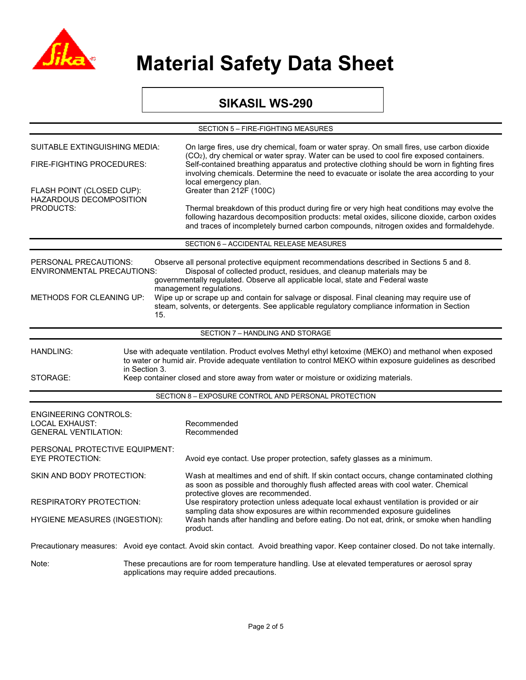

### **SIKASIL WS-290**

| SECTION 5 - FIRE-FIGHTING MEASURES                                                                                                                                                                                                                                                                                                                                                                                                                                                                                                                                                    |  |                                                                                                                                                                                                                                                                                                                          |  |  |
|---------------------------------------------------------------------------------------------------------------------------------------------------------------------------------------------------------------------------------------------------------------------------------------------------------------------------------------------------------------------------------------------------------------------------------------------------------------------------------------------------------------------------------------------------------------------------------------|--|--------------------------------------------------------------------------------------------------------------------------------------------------------------------------------------------------------------------------------------------------------------------------------------------------------------------------|--|--|
| SUITABLE EXTINGUISHING MEDIA:<br>FIRE-FIGHTING PROCEDURES:                                                                                                                                                                                                                                                                                                                                                                                                                                                                                                                            |  | On large fires, use dry chemical, foam or water spray. On small fires, use carbon dioxide                                                                                                                                                                                                                                |  |  |
|                                                                                                                                                                                                                                                                                                                                                                                                                                                                                                                                                                                       |  | (CO <sub>2</sub> ), dry chemical or water spray. Water can be used to cool fire exposed containers.<br>Self-contained breathing apparatus and protective clothing should be worn in fighting fires<br>involving chemicals. Determine the need to evacuate or isolate the area according to your<br>local emergency plan. |  |  |
| FLASH POINT (CLOSED CUP):<br>HAZARDOUS DECOMPOSITION                                                                                                                                                                                                                                                                                                                                                                                                                                                                                                                                  |  | Greater than 212F (100C)                                                                                                                                                                                                                                                                                                 |  |  |
| <b>PRODUCTS:</b>                                                                                                                                                                                                                                                                                                                                                                                                                                                                                                                                                                      |  | Thermal breakdown of this product during fire or very high heat conditions may evolve the<br>following hazardous decomposition products: metal oxides, silicone dioxide, carbon oxides<br>and traces of incompletely burned carbon compounds, nitrogen oxides and formaldehyde.                                          |  |  |
|                                                                                                                                                                                                                                                                                                                                                                                                                                                                                                                                                                                       |  | SECTION 6 - ACCIDENTAL RELEASE MEASURES                                                                                                                                                                                                                                                                                  |  |  |
| PERSONAL PRECAUTIONS:<br>Observe all personal protective equipment recommendations described in Sections 5 and 8.<br>Disposal of collected product, residues, and cleanup materials may be<br><b>ENVIRONMENTAL PRECAUTIONS:</b><br>governmentally regulated. Observe all applicable local, state and Federal waste<br>management regulations.<br>Wipe up or scrape up and contain for salvage or disposal. Final cleaning may require use of<br><b>METHODS FOR CLEANING UP:</b><br>steam, solvents, or detergents. See applicable regulatory compliance information in Section<br>15. |  |                                                                                                                                                                                                                                                                                                                          |  |  |
|                                                                                                                                                                                                                                                                                                                                                                                                                                                                                                                                                                                       |  | SECTION 7 - HANDLING AND STORAGE                                                                                                                                                                                                                                                                                         |  |  |
| Use with adequate ventilation. Product evolves Methyl ethyl ketoxime (MEKO) and methanol when exposed<br><b>HANDLING:</b><br>to water or humid air. Provide adequate ventilation to control MEKO within exposure guidelines as described<br>in Section 3.<br>STORAGE:<br>Keep container closed and store away from water or moisture or oxidizing materials.                                                                                                                                                                                                                          |  |                                                                                                                                                                                                                                                                                                                          |  |  |
|                                                                                                                                                                                                                                                                                                                                                                                                                                                                                                                                                                                       |  | SECTION 8 - EXPOSURE CONTROL AND PERSONAL PROTECTION                                                                                                                                                                                                                                                                     |  |  |
| <b>ENGINEERING CONTROLS:</b><br><b>LOCAL EXHAUST:</b><br><b>GENERAL VENTILATION:</b>                                                                                                                                                                                                                                                                                                                                                                                                                                                                                                  |  | Recommended<br>Recommended                                                                                                                                                                                                                                                                                               |  |  |
| PERSONAL PROTECTIVE EQUIPMENT:<br><b>EYE PROTECTION:</b>                                                                                                                                                                                                                                                                                                                                                                                                                                                                                                                              |  | Avoid eye contact. Use proper protection, safety glasses as a minimum.                                                                                                                                                                                                                                                   |  |  |
| SKIN AND BODY PROTECTION:                                                                                                                                                                                                                                                                                                                                                                                                                                                                                                                                                             |  | Wash at mealtimes and end of shift. If skin contact occurs, change contaminated clothing<br>as soon as possible and thoroughly flush affected areas with cool water. Chemical                                                                                                                                            |  |  |
| RESPIRATORY PROTECTION:                                                                                                                                                                                                                                                                                                                                                                                                                                                                                                                                                               |  | protective gloves are recommended.<br>Use respiratory protection unless adequate local exhaust ventilation is provided or air                                                                                                                                                                                            |  |  |
| <b>HYGIENE MEASURES (INGESTION):</b>                                                                                                                                                                                                                                                                                                                                                                                                                                                                                                                                                  |  | sampling data show exposures are within recommended exposure guidelines<br>Wash hands after handling and before eating. Do not eat, drink, or smoke when handling<br>product.                                                                                                                                            |  |  |
|                                                                                                                                                                                                                                                                                                                                                                                                                                                                                                                                                                                       |  | Precautionary measures: Avoid eye contact. Avoid skin contact. Avoid breathing vapor. Keep container closed. Do not take internally.                                                                                                                                                                                     |  |  |
| Note:                                                                                                                                                                                                                                                                                                                                                                                                                                                                                                                                                                                 |  | These precautions are for room temperature handling. Use at elevated temperatures or aerosol spray<br>applications may require added precautions.                                                                                                                                                                        |  |  |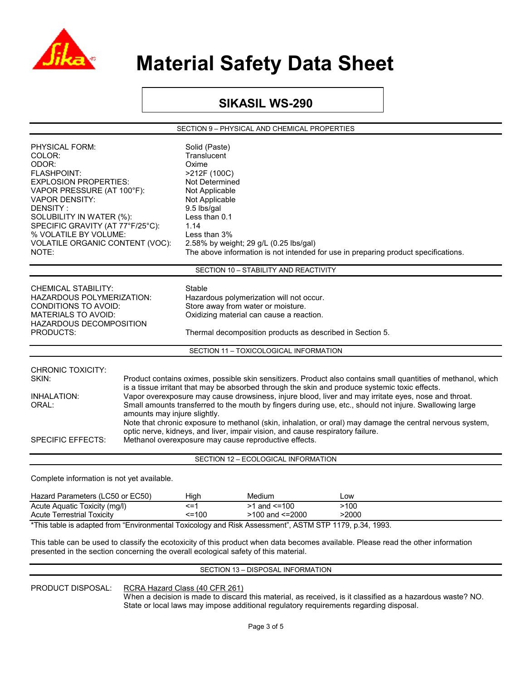

### **SIKASIL WS-290**

SECTION 9 – PHYSICAL AND CHEMICAL PROPERTIES

| PHYSICAL FORM:<br>COLOR:<br>ODOR:<br><b>FLASHPOINT:</b><br><b>EXPLOSION PROPERTIES:</b><br>VAPOR PRESSURE (AT 100°F):<br><b>VAPOR DENSITY:</b><br>DENSITY:<br>SOLUBILITY IN WATER (%):<br>SPECIFIC GRAVITY (AT 77°F/25°C):<br>% VOLATILE BY VOLUME:<br>VOLATILE ORGANIC CONTENT (VOC):<br>NOTE:                                                                                                                                                                                                                                                                                                                                                                                                                                                                                                                            | Solid (Paste)<br>Translucent<br>Oxime<br>>212F (100C)<br>Not Determined<br>Not Applicable<br>Not Applicable<br>9.5 lbs/gal<br>Less than 0.1<br>1.14<br>Less than 3%<br>2.58% by weight; 29 g/L (0.25 lbs/gal)<br>The above information is not intended for use in preparing product specifications. |                                        |             |  |
|----------------------------------------------------------------------------------------------------------------------------------------------------------------------------------------------------------------------------------------------------------------------------------------------------------------------------------------------------------------------------------------------------------------------------------------------------------------------------------------------------------------------------------------------------------------------------------------------------------------------------------------------------------------------------------------------------------------------------------------------------------------------------------------------------------------------------|-----------------------------------------------------------------------------------------------------------------------------------------------------------------------------------------------------------------------------------------------------------------------------------------------------|----------------------------------------|-------------|--|
|                                                                                                                                                                                                                                                                                                                                                                                                                                                                                                                                                                                                                                                                                                                                                                                                                            |                                                                                                                                                                                                                                                                                                     | SECTION 10 - STABILITY AND REACTIVITY  |             |  |
| <b>CHEMICAL STABILITY:</b><br><b>HAZARDOUS POLYMERIZATION:</b><br><b>CONDITIONS TO AVOID:</b><br><b>MATERIALS TO AVOID:</b><br>HAZARDOUS DECOMPOSITION<br><b>PRODUCTS:</b>                                                                                                                                                                                                                                                                                                                                                                                                                                                                                                                                                                                                                                                 | Stable<br>Hazardous polymerization will not occur.<br>Store away from water or moisture.<br>Oxidizing material can cause a reaction.<br>Thermal decomposition products as described in Section 5.                                                                                                   |                                        |             |  |
|                                                                                                                                                                                                                                                                                                                                                                                                                                                                                                                                                                                                                                                                                                                                                                                                                            |                                                                                                                                                                                                                                                                                                     | SECTION 11 - TOXICOLOGICAL INFORMATION |             |  |
| <b>CHRONIC TOXICITY:</b><br>SKIN:<br>Product contains oximes, possible skin sensitizers. Product also contains small quantities of methanol, which<br>is a tissue irritant that may be absorbed through the skin and produce systemic toxic effects.<br>Vapor overexposure may cause drowsiness, injure blood, liver and may irritate eyes, nose and throat.<br><b>INHALATION:</b><br>Small amounts transferred to the mouth by fingers during use, etc., should not injure. Swallowing large<br>ORAL:<br>amounts may injure slightly.<br>Note that chronic exposure to methanol (skin, inhalation, or oral) may damage the central nervous system,<br>optic nerve, kidneys, and liver, impair vision, and cause respiratory failure.<br><b>SPECIFIC EFFECTS:</b><br>Methanol overexposure may cause reproductive effects. |                                                                                                                                                                                                                                                                                                     |                                        |             |  |
|                                                                                                                                                                                                                                                                                                                                                                                                                                                                                                                                                                                                                                                                                                                                                                                                                            |                                                                                                                                                                                                                                                                                                     | SECTION 12 - ECOLOGICAL INFORMATION    |             |  |
| Complete information is not yet available.                                                                                                                                                                                                                                                                                                                                                                                                                                                                                                                                                                                                                                                                                                                                                                                 |                                                                                                                                                                                                                                                                                                     |                                        |             |  |
| Hazard Parameters (LC50 or EC50)<br>Acute Aquistic Toxicity (mall)                                                                                                                                                                                                                                                                                                                                                                                                                                                                                                                                                                                                                                                                                                                                                         | High<br>$\leq$ =1                                                                                                                                                                                                                                                                                   | Medium<br>$>1$ and $\leq 100$          | Low<br>>100 |  |

| Acute Aquatic Toxicity (mg/l)                                                                          | <=1    | $>1$ and $\leq 100$ | >100  |  |  |
|--------------------------------------------------------------------------------------------------------|--------|---------------------|-------|--|--|
| Acute Terrestrial Toxicity                                                                             | $=100$ | >100 and <=2000     | >2000 |  |  |
| *This table is adapted from "Environmental Toxicology and Risk Assessment", ASTM STP 1179, p.34, 1993. |        |                     |       |  |  |

This table can be used to classify the ecotoxicity of this product when data becomes available. Please read the other information presented in the section concerning the overall ecological safety of this material.

#### SECTION 13 – DISPOSAL INFORMATION

PRODUCT DISPOSAL: RCRA Hazard Class (40 CFR 261)

 When a decision is made to discard this material, as received, is it classified as a hazardous waste? NO. State or local laws may impose additional regulatory requirements regarding disposal.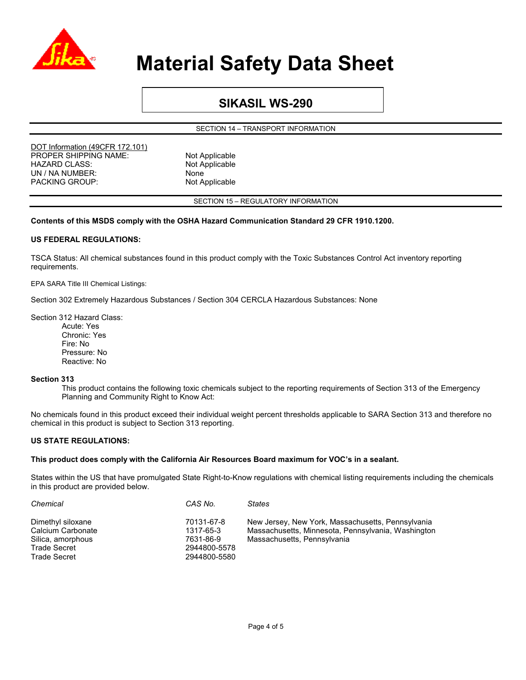

### **SIKASIL WS-290**

SECTION 14 – TRANSPORT INFORMATION

DOT Information (49CFR 172.101) PROPER SHIPPING NAME: Not Applicable HAZARD CLASS: Not Applicable UN / NA NUMBER: None PACKING GROUP: Not Applicable

SECTION 15 – REGULATORY INFORMATION

#### **Contents of this MSDS comply with the OSHA Hazard Communication Standard 29 CFR 1910.1200.**

#### **US FEDERAL REGULATIONS:**

TSCA Status: All chemical substances found in this product comply with the Toxic Substances Control Act inventory reporting requirements.

EPA SARA Title III Chemical Listings:

Section 302 Extremely Hazardous Substances / Section 304 CERCLA Hazardous Substances: None

Section 312 Hazard Class:

Acute: Yes Chronic: Yes Fire: No Pressure: No Reactive: No

#### **Section 313**

This product contains the following toxic chemicals subject to the reporting requirements of Section 313 of the Emergency Planning and Community Right to Know Act:

No chemicals found in this product exceed their individual weight percent thresholds applicable to SARA Section 313 and therefore no chemical in this product is subject to Section 313 reporting.

#### **US STATE REGULATIONS:**

#### **This product does comply with the California Air Resources Board maximum for VOC's in a sealant.**

States within the US that have promulgated State Right-to-Know regulations with chemical listing requirements including the chemicals in this product are provided below.

| Chemical                               | CAS No.                 | <b>States</b>                                                                                           |
|----------------------------------------|-------------------------|---------------------------------------------------------------------------------------------------------|
| Dimethyl siloxane<br>Calcium Carbonate | 70131-67-8<br>1317-65-3 | New Jersey, New York, Massachusetts, Pennsylvania<br>Massachusetts, Minnesota, Pennsylvania, Washington |
| Silica, amorphous                      | 7631-86-9               | Massachusetts, Pennsylvania                                                                             |
| <b>Trade Secret</b>                    | 2944800-5578            |                                                                                                         |
| Trade Secret                           | 2944800-5580            |                                                                                                         |